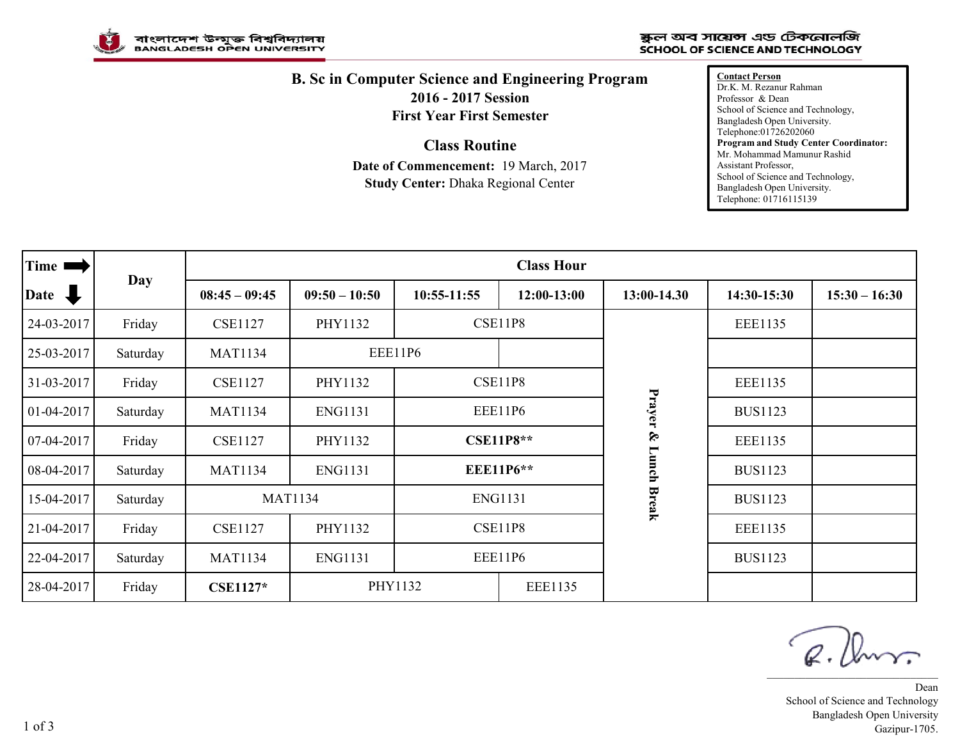

## ষ্কুল অব সায়েন্স এড টেকনোলজি **SCHOOL OF SCIENCE AND TECHNOLOGY**

## **B. Sc in Computer Science and Engineering Program 2016 - 2017 Session First Year First Semester**

**Class Routine**

**Date of Commencement:** 19 March, 2017 **Study Center:** Dhaka Regional Center

**Contact Person** Dr.K. M. Rezanur Rahman Professor & Dean School of Science and Technology, Bangladesh Open University. Telephone:01726202060 **Program and Study Center Coordinator:** Mr. Mohammad Mamunur Rashid Assistant Professor, School of Science and Technology, Bangladesh Open University. Telephone: 01716115139

| Time I                          | Day      | <b>Class Hour</b> |                 |                           |             |                   |                |                 |  |
|---------------------------------|----------|-------------------|-----------------|---------------------------|-------------|-------------------|----------------|-----------------|--|
| $\overline{\mathbf{r}}$<br>Date |          | $08:45 - 09:45$   | $09:50 - 10:50$ | $10:55-11:55$             | 12:00-13:00 | 13:00-14.30       | 14:30-15:30    | $15:30 - 16:30$ |  |
| 24-03-2017                      | Friday   | <b>CSE1127</b>    | PHY1132         | <b>CSE11P8</b>            |             |                   | <b>EEE1135</b> |                 |  |
| 25-03-2017                      | Saturday | <b>MAT1134</b>    |                 | EEE11P6                   |             | Prayer &<br>Lunch |                |                 |  |
| 31-03-2017                      | Friday   | <b>CSE1127</b>    | PHY1132         | <b>CSE11P8</b>            |             |                   | <b>EEE1135</b> |                 |  |
| 01-04-2017                      | Saturday | <b>MAT1134</b>    | <b>ENG1131</b>  | EEE11P6                   |             |                   | <b>BUS1123</b> |                 |  |
| $07-04-2017$                    | Friday   | <b>CSE1127</b>    | PHY1132         | <b>CSE11P8**</b>          |             |                   | <b>EEE1135</b> |                 |  |
| 08-04-2017                      | Saturday | <b>MAT1134</b>    | <b>ENG1131</b>  | <b>EEE11P6**</b>          |             |                   | <b>BUS1123</b> |                 |  |
| 15-04-2017                      | Saturday |                   | <b>MAT1134</b>  | <b>ENG1131</b>            |             | <b>Break</b>      | <b>BUS1123</b> |                 |  |
| 21-04-2017                      | Friday   | <b>CSE1127</b>    | PHY1132         | <b>CSE11P8</b>            |             |                   | <b>EEE1135</b> |                 |  |
| 22-04-2017                      | Saturday | <b>MAT1134</b>    | <b>ENG1131</b>  | <b>EEE11P6</b>            |             |                   | <b>BUS1123</b> |                 |  |
| 28-04-2017                      | Friday   | <b>CSE1127*</b>   |                 | PHY1132<br><b>EEE1135</b> |             |                   |                |                 |  |

R. Ann \_\_\_\_\_\_\_\_\_\_\_\_\_\_\_\_\_\_\_\_\_\_\_\_\_\_\_\_\_\_\_

Dean School of Science and Technology Bangladesh Open University Gazipur-1705.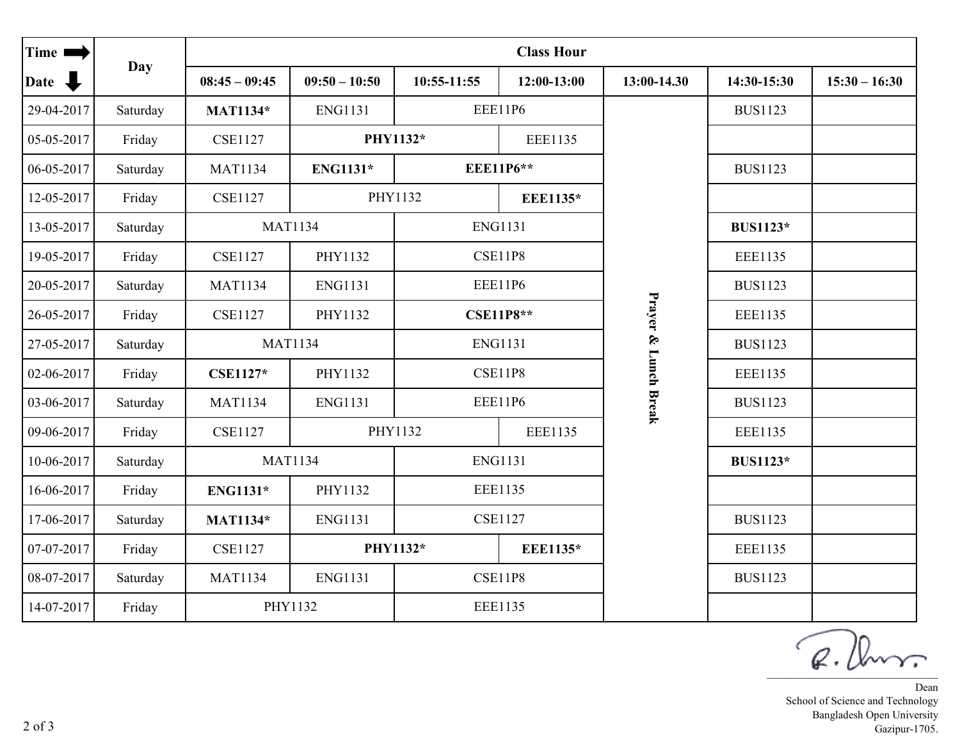| Time I     | Day      | <b>Class Hour</b> |                 |                             |               |                      |                 |                 |  |
|------------|----------|-------------------|-----------------|-----------------------------|---------------|----------------------|-----------------|-----------------|--|
| Date –     |          | $08:45 - 09:45$   | $09:50 - 10:50$ | 10:55-11:55                 | $12:00-13:00$ | 13:00-14.30          | 14:30-15:30     | $15:30 - 16:30$ |  |
| 29-04-2017 | Saturday | <b>MAT1134*</b>   | <b>ENG1131</b>  |                             | EEE11P6       |                      | <b>BUS1123</b>  |                 |  |
| 05-05-2017 | Friday   | <b>CSE1127</b>    |                 | PHY1132*<br><b>EEE1135</b>  |               |                      |                 |                 |  |
| 06-05-2017 | Saturday | <b>MAT1134</b>    | ENG1131*        | <b>EEE11P6**</b>            |               |                      | <b>BUS1123</b>  |                 |  |
| 12-05-2017 | Friday   | <b>CSE1127</b>    |                 | PHY1132<br><b>EEE1135*</b>  |               |                      |                 |                 |  |
| 13-05-2017 | Saturday |                   | <b>MAT1134</b>  | <b>ENG1131</b>              |               |                      | <b>BUS1123*</b> |                 |  |
| 19-05-2017 | Friday   | <b>CSE1127</b>    | PHY1132         | <b>CSE11P8</b>              |               | Prayer & Lunch Break | <b>EEE1135</b>  |                 |  |
| 20-05-2017 | Saturday | <b>MAT1134</b>    | <b>ENG1131</b>  | EEE11P6                     |               |                      | <b>BUS1123</b>  |                 |  |
| 26-05-2017 | Friday   | <b>CSE1127</b>    | PHY1132         | <b>CSE11P8**</b>            |               |                      | EEE1135         |                 |  |
| 27-05-2017 | Saturday |                   | <b>MAT1134</b>  | <b>ENG1131</b>              |               |                      | <b>BUS1123</b>  |                 |  |
| 02-06-2017 | Friday   | <b>CSE1127*</b>   | PHY1132         | <b>CSE11P8</b>              |               |                      | <b>EEE1135</b>  |                 |  |
| 03-06-2017 | Saturday | <b>MAT1134</b>    | <b>ENG1131</b>  | <b>EEE11P6</b>              |               |                      | <b>BUS1123</b>  |                 |  |
| 09-06-2017 | Friday   | <b>CSE1127</b>    |                 | PHY1132<br><b>EEE1135</b>   |               |                      | <b>EEE1135</b>  |                 |  |
| 10-06-2017 | Saturday |                   | <b>MAT1134</b>  | <b>ENG1131</b>              |               |                      | <b>BUS1123*</b> |                 |  |
| 16-06-2017 | Friday   | ENG1131*          | PHY1132         | <b>EEE1135</b>              |               |                      |                 |                 |  |
| 17-06-2017 | Saturday | <b>MAT1134*</b>   | <b>ENG1131</b>  | <b>CSE1127</b>              |               |                      | <b>BUS1123</b>  |                 |  |
| 07-07-2017 | Friday   | <b>CSE1127</b>    |                 | PHY1132*<br><b>EEE1135*</b> |               |                      | <b>EEE1135</b>  |                 |  |
| 08-07-2017 | Saturday | <b>MAT1134</b>    | <b>ENG1131</b>  | <b>CSE11P8</b>              |               |                      | <b>BUS1123</b>  |                 |  |
| 14-07-2017 | Friday   |                   | PHY1132         | <b>EEE1135</b>              |               |                      |                 |                 |  |

 $\overline{\phantom{a}}$ ✓  $Q.$  Univ.

Dean School of Science and Technology Bangladesh Open University Gazipur-1705.